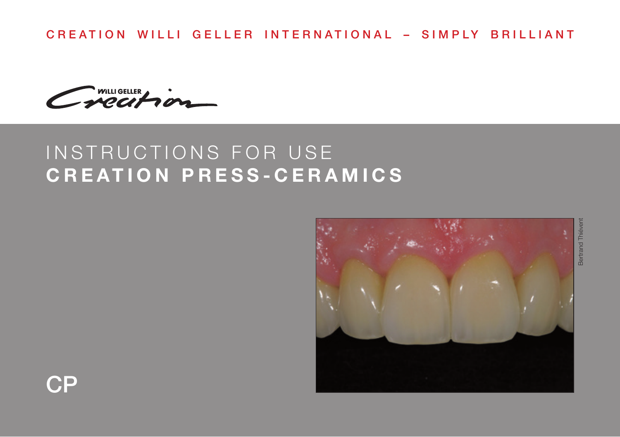CREATION WILLI GELLER INTERNATIONAL – SIMPLY BRILLIANT

WILLIGELLER

# INSTRUCTIONS FOR USE **CREATION PRESS-CERAMICS**



Bertrand ThiéventBertrand Thiéver

CP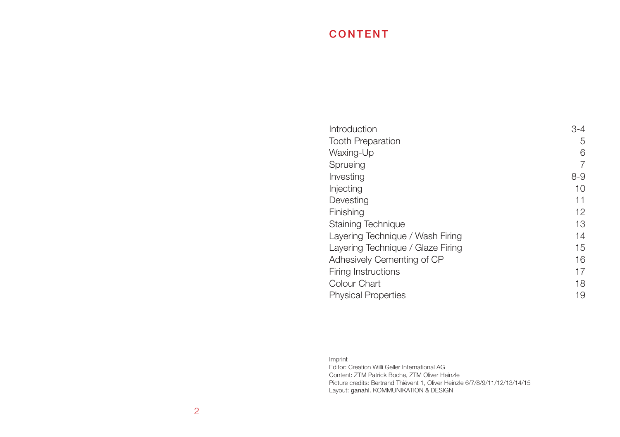# CONTENT

| Introduction                      | $3 - 4$ |
|-----------------------------------|---------|
| <b>Tooth Preparation</b>          | 5       |
| Waxing-Up                         | 6       |
| Sprueing                          | 7       |
| Investing                         | $8 - 9$ |
| Injecting                         | 10      |
| Devesting                         | 11      |
| Finishing                         | 12      |
| Staining Technique                | 13      |
| Layering Technique / Wash Firing  | 14      |
| Layering Technique / Glaze Firing | 15      |
| Adhesively Cementing of CP        | 16      |
| Firing Instructions               | 17      |
| Colour Chart                      | 18      |
| <b>Physical Properties</b>        | 19      |
|                                   |         |

#### Imprint Editor: Creation Willi Geller International AG Content: ZTM Patrick Boche, ZTM Oliver Heinzle Picture credits: Bertrand Thiévent 1, Oliver Heinzle 6/7/8/9/11/12/13/14/15 Layout: ganahl. KOMMUNIKATION & DESIGN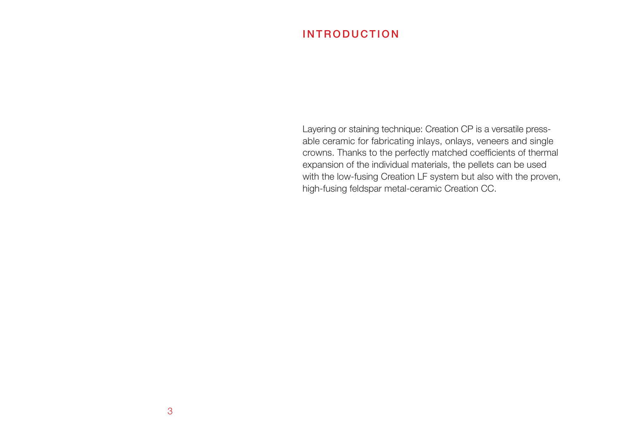# INTRODUCTION

Layering or staining technique: Creation CP is a versatile pressable ceramic for fabricating inlays, onlays, veneers and single crowns. Thanks to the perfectly matched coefficients of thermal expansion of the individual materials, the pellets can be used with the low-fusing Creation LF system but also with the proven, high-fusing feldspar metal-ceramic Creation CC.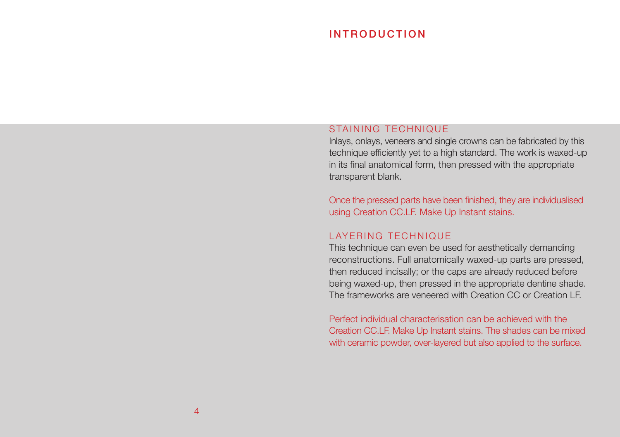### INTRODUCTION

#### STAINING TECHNIQUE

Inlays, onlays, veneers and single crowns can be fabricated by this technique efficiently yet to a high standard. The work is waxed-up in its final anatomical form, then pressed with the appropriate transparent blank.

Once the pressed parts have been finished, they are individualised using Creation CC.LF. Make Up Instant stains.

#### LAYERING TECHNIQUE

This technique can even be used for aesthetically demanding reconstructions. Full anatomically waxed-up parts are pressed, then reduced incisally; or the caps are already reduced before being waxed-up, then pressed in the appropriate dentine shade. The frameworks are veneered with Creation CC or Creation LF.

Perfect individual characterisation can be achieved with the Creation CC.LF. Make Up Instant stains. The shades can be mixed with ceramic powder, over-layered but also applied to the surface.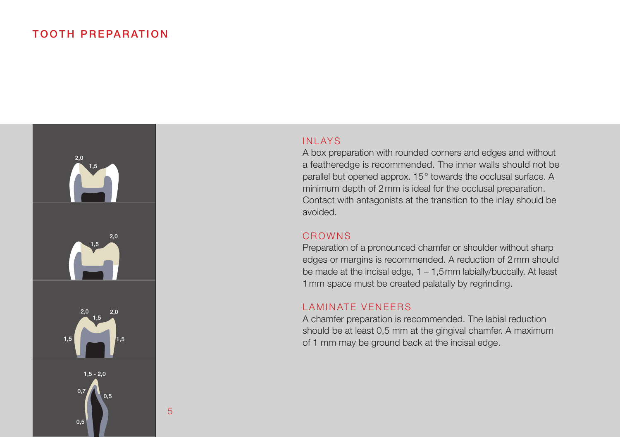### TOOTH PREPARATION



5

#### INLAYS

A box preparation with rounded corners and edges and without a featheredge is recommended. The inner walls should not be parallel but opened approx. 15° towards the occlusal surface. A minimum depth of 2mm is ideal for the occlusal preparation. Contact with antagonists at the transition to the inlay should be avoided.

#### CROWNS

Preparation of a pronounced chamfer or shoulder without sharp edges or margins is recommended. A reduction of 2mm should be made at the incisal edge,  $1 - 1.5$  mm labially/buccally. At least 1mm space must be created palatally by regrinding.

#### LAMINATE VENEERS

A chamfer preparation is recommended. The labial reduction should be at least 0,5 mm at the gingival chamfer. A maximum of 1 mm may be ground back at the incisal edge.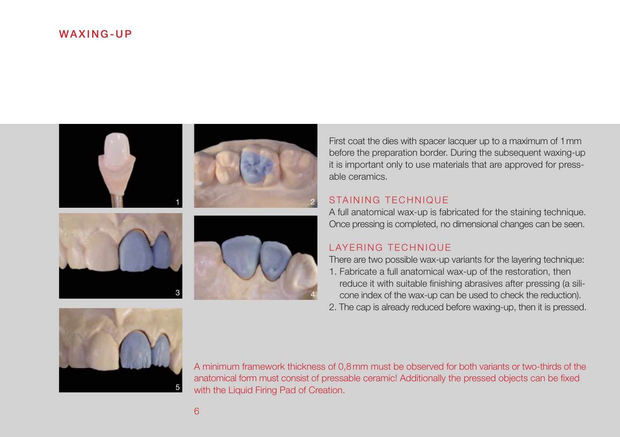### WAXING-UP









First coat the dies with spacer lacquer up to a maximum of 1mm before the preparation border. During the subsequent waxing-up it is important only to use materials that are approved for pressable ceramics.

#### STAINING TECHNIQUE

A full anatomical wax-up is fabricated for the staining technique. Once pressing is completed, no dimensional changes can be seen.

#### LAYERING TECHNIQUE

There are two possible wax-up variants for the layering technique: 1. Fabricate a full anatomical wax-up of the restoration, then reduce it with suitable finishing abrasives after pressing (a silicone index of the wax-up can be used to check the reduction).

2. The cap is already reduced before waxing-up, then it is pressed.



A minimum framework thickness of 0,8mm must be observed for both variants or two-thirds of the anatomical form must consist of pressable ceramic! Additionally the pressed objects can be fixed with the Liquid Firing Pad of Creation.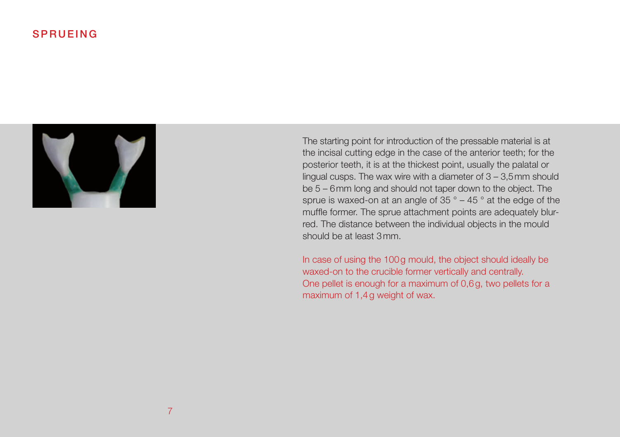### SPRUEING



The starting point for introduction of the pressable material is at the incisal cutting edge in the case of the anterior teeth; for the posterior teeth, it is at the thickest point, usually the palatal or lingual cusps. The wax wire with a diameter of 3 – 3,5mm should be 5 – 6mm long and should not taper down to the object. The sprue is waxed-on at an angle of 35 ° – 45 ° at the edge of the muffle former. The sprue attachment points are adequately blurred. The distance between the individual objects in the mould should be at least 3mm.

In case of using the 100g mould, the object should ideally be waxed-on to the crucible former vertically and centrally. One pellet is enough for a maximum of 0,6g, two pellets for a maximum of 1,4g weight of wax.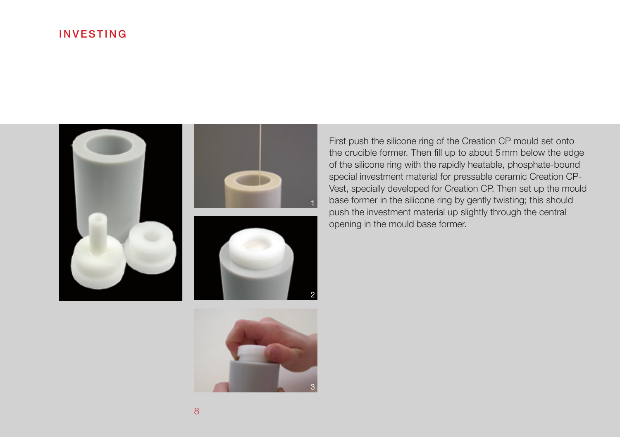## INVESTING





First push the silicone ring of the Creation CP mould set onto the crucible former. Then fill up to about 5 mm below the edge of the silicone ring with the rapidly heatable, phosphate-bound special investment material for pressable ceramic Creation CP-Vest, specially developed for Creation CP. Then set up the mould base former in the silicone ring by gently twisting; this should push the investment material up slightly through the central opening in the mould base former.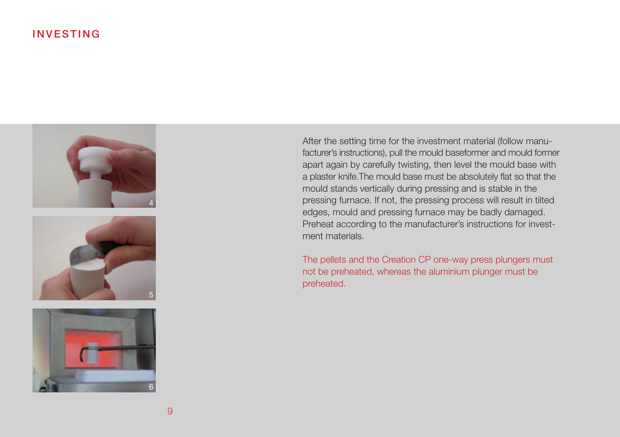### INVESTING







After the setting time for the investment material (follow manufacturer's instructions), pull the mould baseformer and mould former apart again by carefully twisting, then level the mould base with a plaster knife.The mould base must be absolutely flat so that the mould stands vertically during pressing and is stable in the pressing furnace. If not, the pressing process will result in tilted edges, mould and pressing furnace may be badly damaged. Preheat according to the manufacturer's instructions for investment materials.

The pellets and the Creation CP one-way press plungers must not be preheated, whereas the aluminium plunger must be preheated.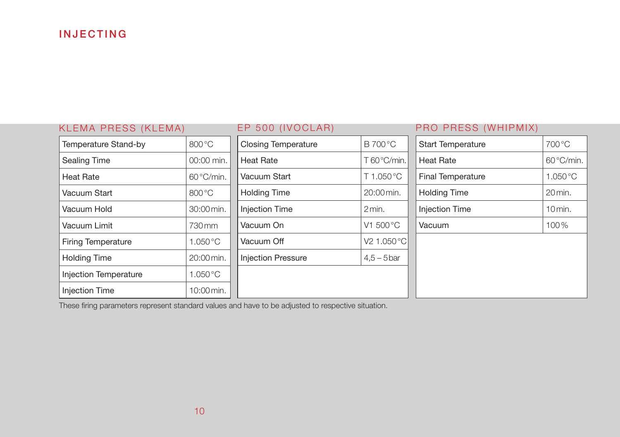# INJECTING

| KLEMA PRESS (KLEMA)          |                      | EP 500 (IVOCLAR)                |                         | PRO PRESS (WHIPMIX)      |                      |
|------------------------------|----------------------|---------------------------------|-------------------------|--------------------------|----------------------|
| Temperature Stand-by         | 800 °C               | <b>Closing Temperature</b>      | <b>B</b> 700 °C         | <b>Start Temperature</b> | 700 °C               |
| Sealing Time                 | 00:00 min.           | T 60°C/min.<br><b>Heat Rate</b> |                         | <b>Heat Rate</b>         | 60°C/min.            |
| <b>Heat Rate</b>             | 60°C/min.            | Vacuum Start                    | T 1.050 °C              | <b>Final Temperature</b> | $1.050\textdegree C$ |
| Vacuum Start                 | 800 °C               | <b>Holding Time</b>             | 20:00 min.              | <b>Holding Time</b>      | 20 min.              |
| Vacuum Hold                  | 30:00 min.           | Injection Time                  | 2 min.                  | <b>Injection Time</b>    | $10$ min.            |
| Vacuum Limit                 | 730 mm               | Vacuum On                       | V1 500 °C               | Vacuum                   | 100%                 |
| <b>Firing Temperature</b>    | $1.050\textdegree C$ | Vacuum Off                      | V <sub>2</sub> 1.050 °C |                          |                      |
| <b>Holding Time</b>          | 20:00 min.           | <b>Injection Pressure</b>       | $4.5 - 5$ bar           |                          |                      |
| <b>Injection Temperature</b> | 1.050 °C             |                                 |                         |                          |                      |
| <b>Injection Time</b>        | 10:00 min.           |                                 |                         |                          |                      |

These firing parameters represent standard values and have to be adjusted to respective situation.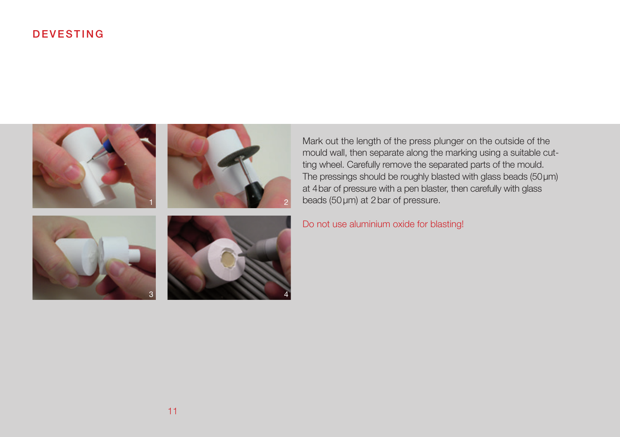# DEVESTING



Mark out the length of the press plunger on the outside of the mould wall, then separate along the marking using a suitable cutting wheel. Carefully remove the separated parts of the mould. The pressings should be roughly blasted with glass beads (50μm) at 4bar of pressure with a pen blaster, then carefully with glass beads (50μm) at 2bar of pressure.

Do not use aluminium oxide for blasting!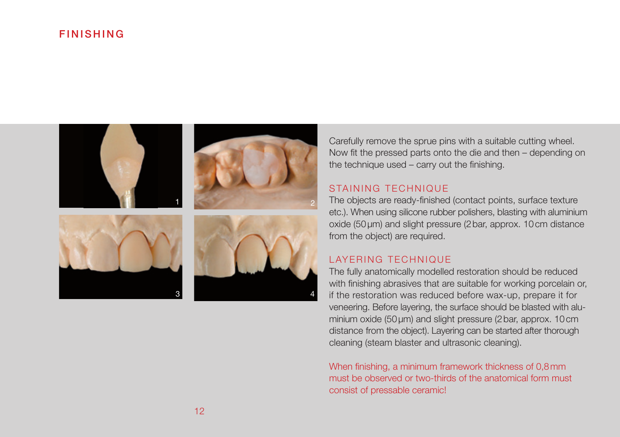### FINISHING



Carefully remove the sprue pins with a suitable cutting wheel. Now fit the pressed parts onto the die and then – depending on the technique used – carry out the finishing.

#### STAINING TECHNIQUE

The objects are ready-finished (contact points, surface texture etc.). When using silicone rubber polishers, blasting with aluminium oxide (50μm) and slight pressure (2bar, approx. 10cm distance from the object) are required.

#### LAYERING TECHNIQUE

The fully anatomically modelled restoration should be reduced with finishing abrasives that are suitable for working porcelain or, if the restoration was reduced before wax-up, prepare it for veneering. Before layering, the surface should be blasted with aluminium oxide (50μm) and slight pressure (2bar, approx. 10cm distance from the object). Layering can be started after thorough cleaning (steam blaster and ultrasonic cleaning).

When finishing, a minimum framework thickness of 0,8mm must be observed or two-thirds of the anatomical form must consist of pressable ceramic!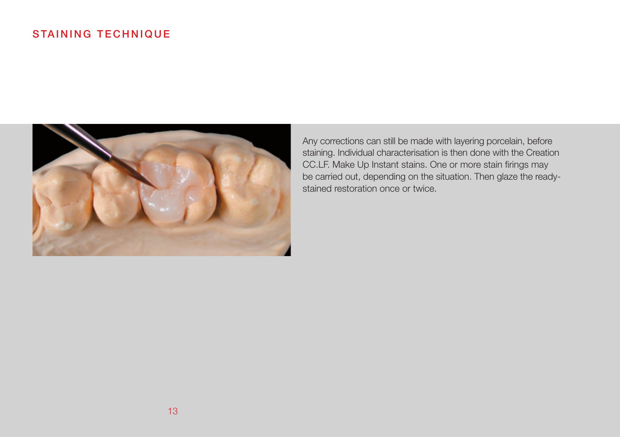# STAINING TECHNIQUE



Any corrections can still be made with layering porcelain, before staining. Individual characterisation is then done with the Creation CC.LF. Make Up Instant stains. One or more stain firings may be carried out, depending on the situation. Then glaze the readystained restoration once or twice.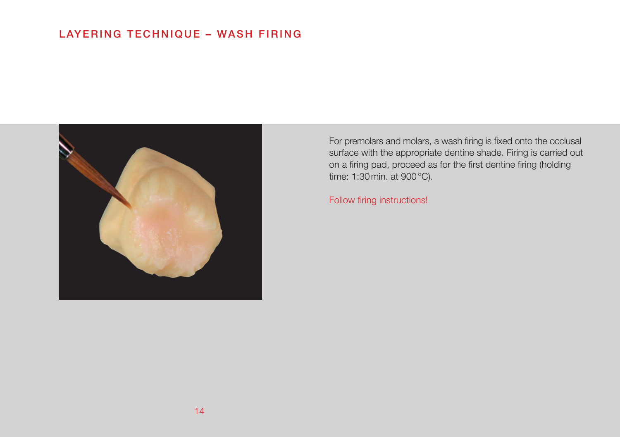# LAYERING TECHNIQUE – WASH FIRING



For premolars and molars, a wash firing is fixed onto the occlusal surface with the appropriate dentine shade. Firing is carried out on a firing pad, proceed as for the first dentine firing (holding time: 1:30min. at 900°C).

Follow firing instructions!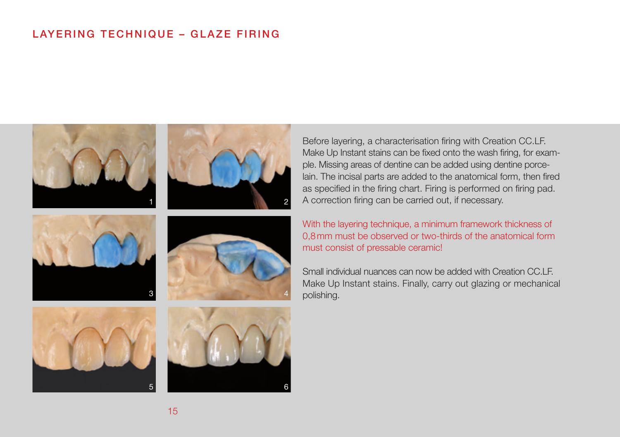# LAYERING TECHNIQUE – GLAZE FIRING



Before layering, a characterisation firing with Creation CC.LF. Make Up Instant stains can be fixed onto the wash firing, for example. Missing areas of dentine can be added using dentine porcelain. The incisal parts are added to the anatomical form, then fired as specified in the firing chart. Firing is performed on firing pad. A correction firing can be carried out, if necessary.

2

4

6

With the layering technique, a minimum framework thickness of 0,8mm must be observed or two-thirds of the anatomical form must consist of pressable ceramic!

Small individual nuances can now be added with Creation CC.LF. Make Up Instant stains. Finally, carry out glazing or mechanical polishing.

5

15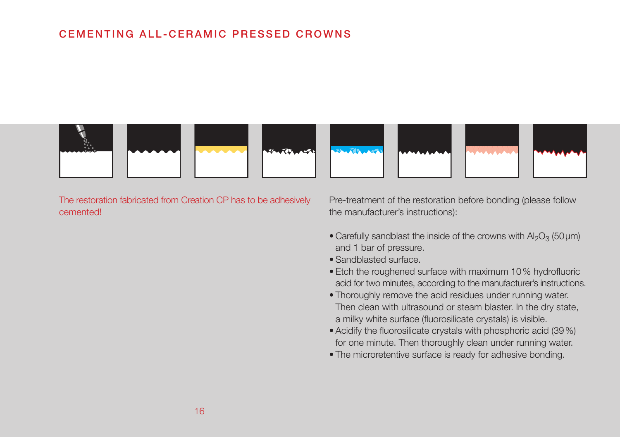# CEMENTING ALL-CERAMIC PRESSED CROWNS



The restoration fabricated from Creation CP has to be adhesively cemented!

Pre-treatment of the restoration before bonding (please follow the manufacturer's instructions):

- Carefully sandblast the inside of the crowns with  $Al_2O_3$  (50 µm) and 1 bar of pressure.
- Sandblasted surface.
- Etch the roughened surface with maximum 10% hydrofluoric acid for two minutes, according to the manufacturer's instructions.
- Thoroughly remove the acid residues under running water. Then clean with ultrasound or steam blaster. In the dry state, a milky white surface (fluorosilicate crystals) is visible.
- Acidify the fluorosilicate crystals with phosphoric acid (39%) for one minute. Then thoroughly clean under running water.
- The microretentive surface is ready for adhesive bonding.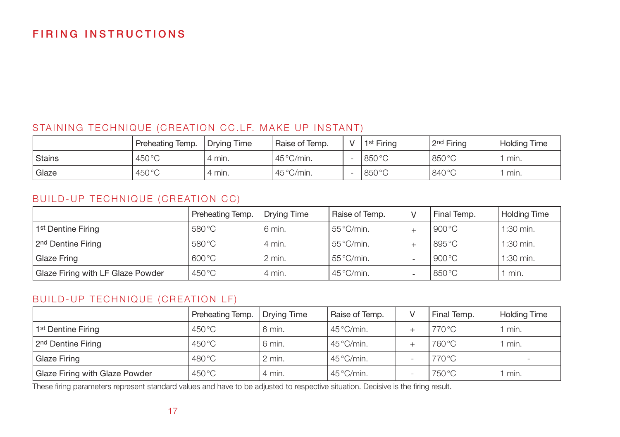# FIRING INSTRUCTIONS

### STAINING TECHNIQUE (CREATION CC.LF. MAKE UP INSTANT)

|                    | Preheating Temp. | Drying Time | Raise of Temp.      | v | 1 <sup>st</sup> Firing | 2 <sup>nd</sup> Firing | <b>Holding Time</b> |
|--------------------|------------------|-------------|---------------------|---|------------------------|------------------------|---------------------|
| l Stains           | $450^{\circ}$ C  | ' 4 min.    | $45^{\circ}$ C/min. |   | 850 °C                 | 850 °C                 | min.                |
| <sup>'</sup> Glaze | $450^{\circ}$ C  | 4 min.      | $45^{\circ}$ C/min. |   | 850 °C                 | 840 °C                 | min.                |

### BUILD-UP TECHNIQUE (CREATION CC)

|                                   | Preheating Temp.          | <b>Drying Time</b> | Raise of Temp.      | Final Temp.     | <b>Holding Time</b> |
|-----------------------------------|---------------------------|--------------------|---------------------|-----------------|---------------------|
| 1 <sup>st</sup> Dentine Firing    | 580 °C                    | 6 min.             | $55^{\circ}$ C/min. | 900 °C          | $1:30$ min.         |
| 2 <sup>nd</sup> Dentine Firing    | 580 °C                    | 4 min.             | $55^{\circ}$ C/min. | 895 °C          | 1:30 min.           |
| Glaze Fring                       | $600\,^{\circ}\mathrm{C}$ | $2$ min.           | $55^{\circ}$ C/min. | 900 °C          | $1:30$ min.         |
| Glaze Firing with LF Glaze Powder | $450^{\circ}$ C           | 4 min.             | $45^{\circ}$ C/min. | $850^{\circ}$ C | min.                |

### BUILD-UP TECHNIQUE (CREATION LF)

|                                | Preheating Temp. | Drying Time | Raise of Temp.      | $\mathcal{U}$ | Final Temp. | <b>Holding Time</b> |
|--------------------------------|------------------|-------------|---------------------|---------------|-------------|---------------------|
| 1 <sup>st</sup> Dentine Firing | $450^{\circ}$ C  | 6 min.      | $45^{\circ}$ C/min. |               | 770 °C      | min.                |
| 2 <sup>nd</sup> Dentine Firing | $450^{\circ}$ C  | 6 min.      | $45^{\circ}$ C/min. |               | 760 °C      | min.                |
| Glaze Firing                   | $480^{\circ}$ C  | $2$ min.    | $45^{\circ}$ C/min. |               | 770 °C      | $\sim$              |
| Glaze Firing with Glaze Powder | $450^{\circ}$ C  | 4 min.      | $45^{\circ}$ C/min. |               | 750 °C      | min.                |

These firing parameters represent standard values and have to be adjusted to respective situation. Decisive is the firing result.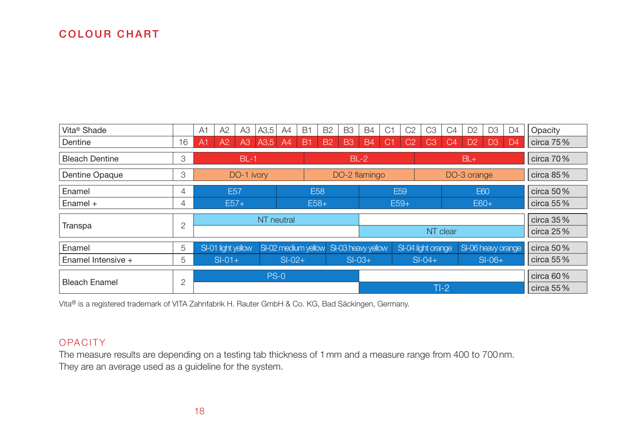# COLOUR CHART

| Vita <sup>®</sup> Shade |                | A <sub>1</sub>       | A2                 | A <sub>3</sub> | A3,5     | A4                            | <b>B1</b>           | <b>B2</b> | B <sub>3</sub>     | <b>B4</b> | C <sub>1</sub> | C <sub>2</sub>     | C <sub>3</sub> | C4             | D <sub>2</sub>     | D <sub>3</sub> | D <sub>4</sub> | Opacity      |
|-------------------------|----------------|----------------------|--------------------|----------------|----------|-------------------------------|---------------------|-----------|--------------------|-----------|----------------|--------------------|----------------|----------------|--------------------|----------------|----------------|--------------|
| Dentine                 | 16             | A <sub>1</sub>       | A2                 | A3             | A3,5     | A <sup>4</sup>                | B <sub>1</sub>      | <b>B2</b> | <b>B3</b>          | <b>B4</b> | C <sub>1</sub> | C <sub>2</sub>     | C <sub>3</sub> | C <sub>4</sub> | D <sub>2</sub>     | D <sub>3</sub> | D <sub>4</sub> | circa $75%$  |
| <b>Bleach Dentine</b>   | 3              | $BL-1$               |                    |                |          | $BL-2$                        |                     |           |                    |           |                | $BL +$             |                |                |                    | circa 70%      |                |              |
| Dentine Opaque          | 3              | DO-1 ivory           |                    |                |          | DO-2 flamingo                 |                     |           |                    |           | DO-3 orange    |                    |                |                |                    | circa $85%$    |                |              |
| Enamel                  | 4              | E <sub>57</sub>      |                    |                |          | <b>E58</b><br>E <sub>59</sub> |                     |           |                    |           |                |                    | <b>E60</b>     |                |                    | circa 50 $%$   |                |              |
| Enamel $+$              | 4              |                      | $E57+$             |                |          |                               | $E58+$              |           |                    | $E59+$    |                |                    |                | $E60+$         |                    |                |                | circa 55%    |
|                         |                |                      | NT neutral         |                |          |                               |                     |           |                    |           |                |                    |                |                |                    |                | $circa$ 35 $%$ |              |
| Transpa                 | $\overline{2}$ |                      |                    |                |          |                               |                     | NT clear  |                    |           |                |                    |                |                |                    | circa $25%$    |                |              |
| Enamel                  | 5              |                      | SI-01 light yellow |                |          |                               | SI-02 medium yellow |           | SI-03 heavy yellow |           |                | SI-04 light orange |                |                | SI-06 heavy orange |                |                | circa 50 $%$ |
| Enamel Intensive $+$    | 5              | $SI-01+$<br>$SI-02+$ |                    |                | $SI-03+$ |                               |                     | $SI-04+$  |                    |           | $SI-06+$       |                    |                |                | circa 55%          |                |                |              |
|                         |                |                      |                    |                |          | $PS-0$                        |                     |           |                    |           |                |                    |                |                |                    |                |                | circa $60\%$ |
| <b>Bleach Enamel</b>    | $\overline{2}$ |                      |                    |                |          |                               |                     |           |                    |           |                |                    | $TI-2$         |                |                    |                |                | circa 55%    |

Vita® is a registered trademark of VITA Zahnfabrik H. Rauter GmbH & Co. KG, Bad Säckingen, Germany.

#### **OPACITY**

The measure results are depending on a testing tab thickness of 1mm and a measure range from 400 to 700nm. They are an average used as a guideline for the system.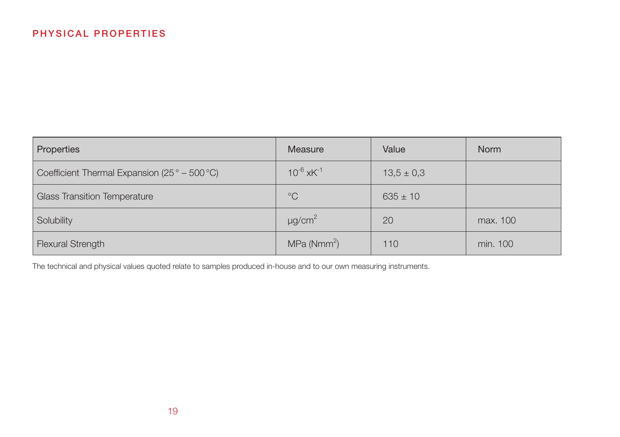| Properties                                                       | Measure                    | Value          | <b>Norm</b> |
|------------------------------------------------------------------|----------------------------|----------------|-------------|
| Coefficient Thermal Expansion (25 $^{\circ}$ – 500 $^{\circ}$ C) | $10^{-6}$ xK <sup>-1</sup> | $13.5 \pm 0.3$ |             |
| <b>Glass Transition Temperature</b>                              | $^{\circ}C$                | $635 \pm 10$   |             |
| Solubility                                                       | $\mu$ g/cm <sup>2</sup>    | 20             | max. 100    |
| <b>Flexural Strength</b>                                         | MPa (Nmm <sup>2</sup> )    | 110            | min. 100    |

The technical and physical values quoted relate to samples produced in-house and to our own measuring instruments.